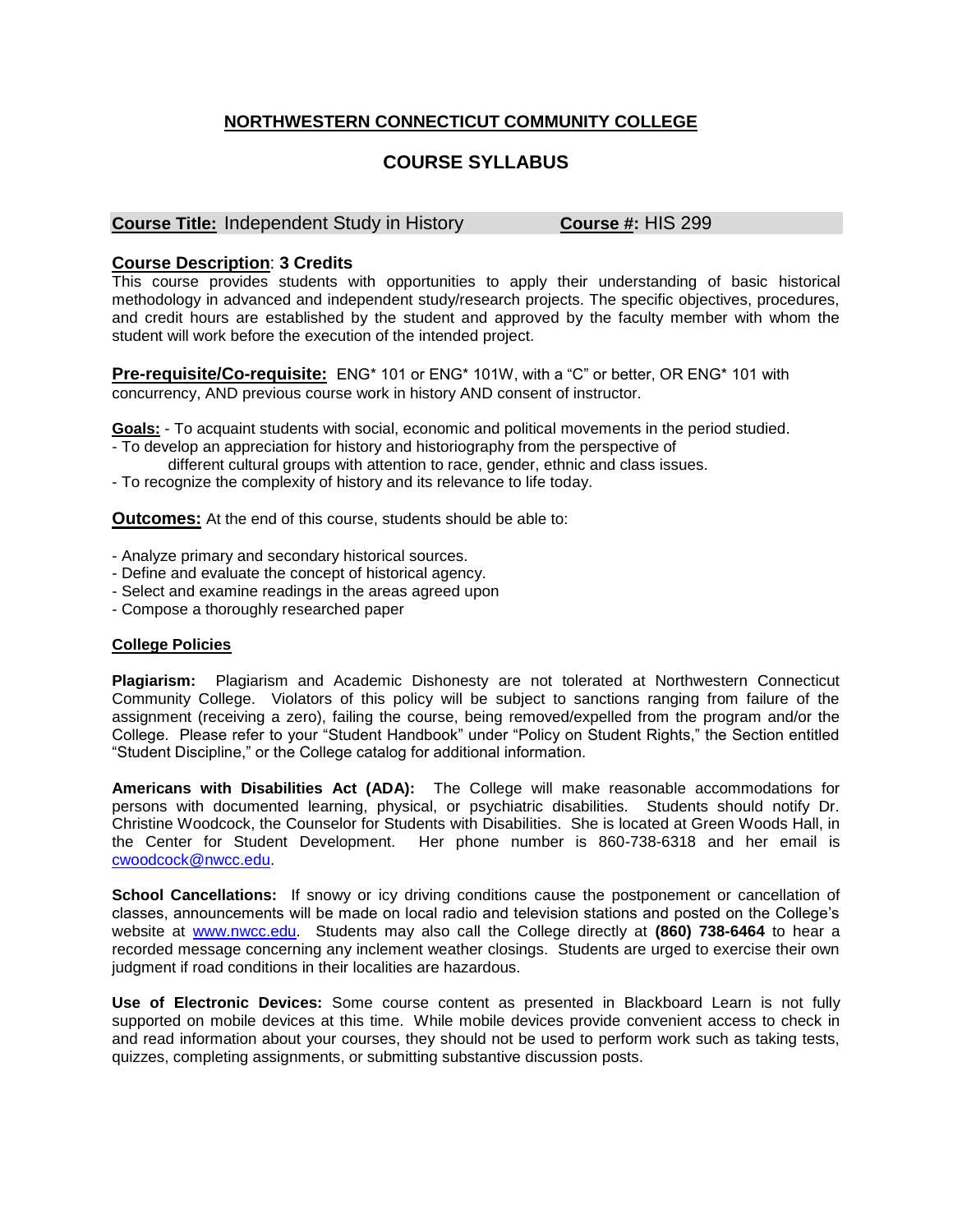## **NORTHWESTERN CONNECTICUT COMMUNITY COLLEGE**

# **COURSE SYLLABUS**

### **Course Title:** Independent Study in History **Course #:** HIS 299

## **Course Description**: **3 Credits**

This course provides students with opportunities to apply their understanding of basic historical methodology in advanced and independent study/research projects. The specific objectives, procedures, and credit hours are established by the student and approved by the faculty member with whom the student will work before the execution of the intended project.

**Pre-requisite/Co-requisite:** ENG\* 101 or ENG\* 101W, with a "C" or better, OR ENG\* 101 with concurrency, AND previous course work in history AND consent of instructor.

**Goals:** - To acquaint students with social, economic and political movements in the period studied.

- To develop an appreciation for history and historiography from the perspective of
- different cultural groups with attention to race, gender, ethnic and class issues.

- To recognize the complexity of history and its relevance to life today.

**Outcomes:** At the end of this course, students should be able to:

- Analyze primary and secondary historical sources.

- Define and evaluate the concept of historical agency.
- Select and examine readings in the areas agreed upon
- Compose a thoroughly researched paper

#### **College Policies**

**Plagiarism:** Plagiarism and Academic Dishonesty are not tolerated at Northwestern Connecticut Community College. Violators of this policy will be subject to sanctions ranging from failure of the assignment (receiving a zero), failing the course, being removed/expelled from the program and/or the College. Please refer to your "Student Handbook" under "Policy on Student Rights," the Section entitled "Student Discipline," or the College catalog for additional information.

**Americans with Disabilities Act (ADA):** The College will make reasonable accommodations for persons with documented learning, physical, or psychiatric disabilities. Students should notify Dr. Christine Woodcock, the Counselor for Students with Disabilities. She is located at Green Woods Hall, in the Center for Student Development. Her phone number is 860-738-6318 and her email is [cwoodcock@nwcc.edu.](mailto:cwoodcock@nwcc.edu)

**School Cancellations:** If snowy or icy driving conditions cause the postponement or cancellation of classes, announcements will be made on local radio and television stations and posted on the College's website at [www.nwcc.edu.](http://www.nwcc.edu/) Students may also call the College directly at **(860) 738-6464** to hear a recorded message concerning any inclement weather closings. Students are urged to exercise their own judgment if road conditions in their localities are hazardous.

**Use of Electronic Devices:** Some course content as presented in Blackboard Learn is not fully supported on mobile devices at this time. While mobile devices provide convenient access to check in and read information about your courses, they should not be used to perform work such as taking tests, quizzes, completing assignments, or submitting substantive discussion posts.